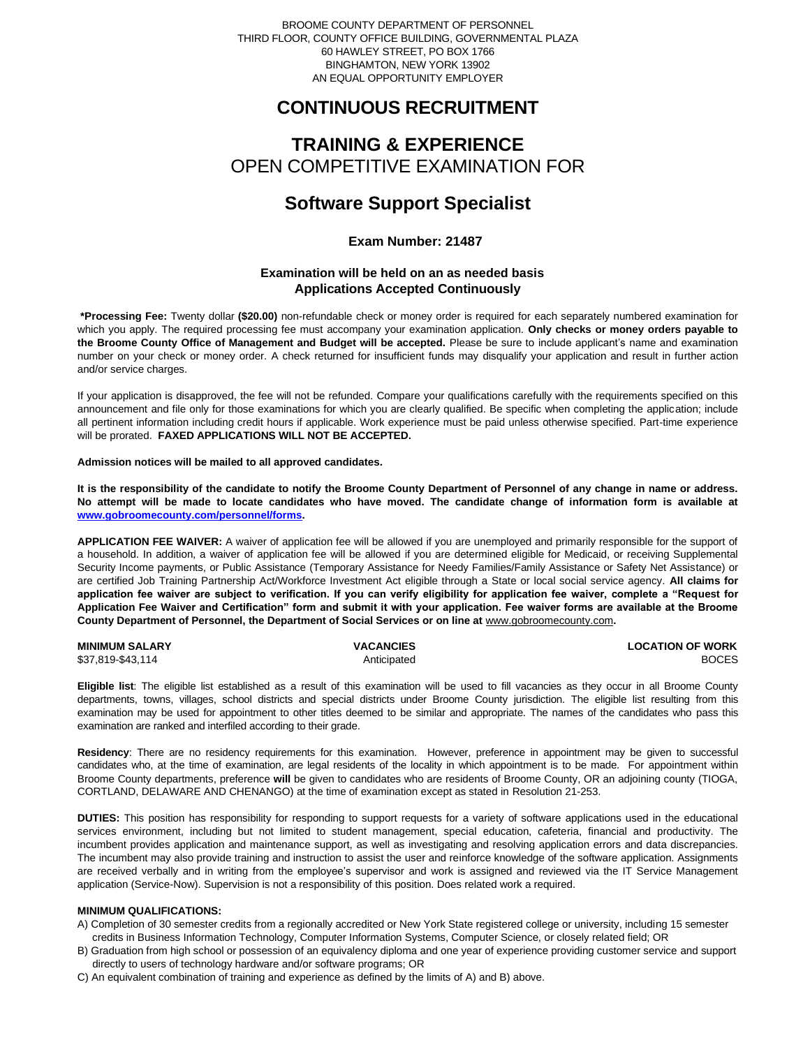BROOME COUNTY DEPARTMENT OF PERSONNEL THIRD FLOOR, COUNTY OFFICE BUILDING, GOVERNMENTAL PLAZA 60 HAWLEY STREET, PO BOX 1766 BINGHAMTON, NEW YORK 13902 AN EQUAL OPPORTUNITY EMPLOYER

# **CONTINUOUS RECRUITMENT**

# **TRAINING & EXPERIENCE** OPEN COMPETITIVE EXAMINATION FOR

# **Software Support Specialist**

# **Exam Number: 21487**

# **Examination will be held on an as needed basis Applications Accepted Continuously**

**\*Processing Fee:** Twenty dollar **(\$20.00)** non-refundable check or money order is required for each separately numbered examination for which you apply. The required processing fee must accompany your examination application. **Only checks or money orders payable to the Broome County Office of Management and Budget will be accepted.** Please be sure to include applicant's name and examination number on your check or money order. A check returned for insufficient funds may disqualify your application and result in further action and/or service charges.

If your application is disapproved, the fee will not be refunded. Compare your qualifications carefully with the requirements specified on this announcement and file only for those examinations for which you are clearly qualified. Be specific when completing the application; include all pertinent information including credit hours if applicable. Work experience must be paid unless otherwise specified. Part-time experience will be prorated. **FAXED APPLICATIONS WILL NOT BE ACCEPTED.** 

#### **Admission notices will be mailed to all approved candidates.**

**It is the responsibility of the candidate to notify the Broome County Department of Personnel of any change in name or address. No attempt will be made to locate candidates who have moved. The candidate change of information form is available at [www.gobroomecounty.com/personnel/forms.](http://www.gobroomecounty.com/personnel/forms)** 

**APPLICATION FEE WAIVER:** A waiver of application fee will be allowed if you are unemployed and primarily responsible for the support of a household. In addition, a waiver of application fee will be allowed if you are determined eligible for Medicaid, or receiving Supplemental Security Income payments, or Public Assistance (Temporary Assistance for Needy Families/Family Assistance or Safety Net Assistance) or are certified Job Training Partnership Act/Workforce Investment Act eligible through a State or local social service agency. **All claims for application fee waiver are subject to verification. If you can verify eligibility for application fee waiver, complete a "Request for Application Fee Waiver and Certification" form and submit it with your application. Fee waiver forms are available at the Broome County Department of Personnel, the Department of Social Services or on line at** www.gobroomecounty.com**.** 

| <b>MINIMUM SALARY</b> | <b>VACANCIES</b> | <b>LOCATION OF WORK</b> |
|-----------------------|------------------|-------------------------|
| \$37,819-\$43,114     | Anticipated      | <b>BOCES</b>            |

**Eligible list**: The eligible list established as a result of this examination will be used to fill vacancies as they occur in all Broome County departments, towns, villages, school districts and special districts under Broome County jurisdiction. The eligible list resulting from this examination may be used for appointment to other titles deemed to be similar and appropriate. The names of the candidates who pass this examination are ranked and interfiled according to their grade.

**Residency**: There are no residency requirements for this examination. However, preference in appointment may be given to successful candidates who, at the time of examination, are legal residents of the locality in which appointment is to be made. For appointment within Broome County departments, preference **will** be given to candidates who are residents of Broome County, OR an adjoining county (TIOGA, CORTLAND, DELAWARE AND CHENANGO) at the time of examination except as stated in Resolution 21-253.

**DUTIES:** This position has responsibility for responding to support requests for a variety of software applications used in the educational services environment, including but not limited to student management, special education, cafeteria, financial and productivity. The incumbent provides application and maintenance support, as well as investigating and resolving application errors and data discrepancies. The incumbent may also provide training and instruction to assist the user and reinforce knowledge of the software application. Assignments are received verbally and in writing from the employee's supervisor and work is assigned and reviewed via the IT Service Management application (Service-Now). Supervision is not a responsibility of this position. Does related work a required.

## **MINIMUM QUALIFICATIONS:**

- A) Completion of 30 semester credits from a regionally accredited or New York State registered college or university, including 15 semester credits in Business Information Technology, Computer Information Systems, Computer Science, or closely related field; OR
- B) Graduation from high school or possession of an equivalency diploma and one year of experience providing customer service and support directly to users of technology hardware and/or software programs; OR
- C) An equivalent combination of training and experience as defined by the limits of A) and B) above.